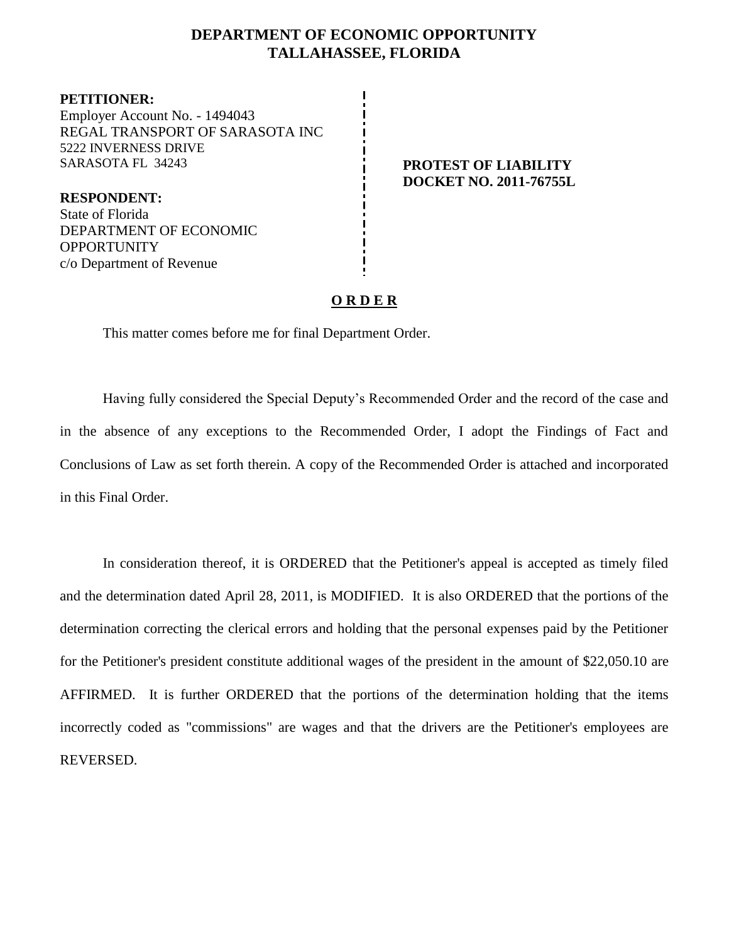#### **DEPARTMENT OF ECONOMIC OPPORTUNITY TALLAHASSEE, FLORIDA**

**PETITIONER:** Employer Account No. - 1494043 REGAL TRANSPORT OF SARASOTA INC 5222 INVERNESS DRIVE SARASOTA FL 34243 **PROTEST OF LIABILITY** 

**RESPONDENT:** State of Florida DEPARTMENT OF ECONOMIC **OPPORTUNITY** c/o Department of Revenue

# **DOCKET NO. 2011-76755L**

#### **O R D E R**

This matter comes before me for final Department Order.

Having fully considered the Special Deputy's Recommended Order and the record of the case and in the absence of any exceptions to the Recommended Order, I adopt the Findings of Fact and Conclusions of Law as set forth therein. A copy of the Recommended Order is attached and incorporated in this Final Order.

In consideration thereof, it is ORDERED that the Petitioner's appeal is accepted as timely filed and the determination dated April 28, 2011, is MODIFIED. It is also ORDERED that the portions of the determination correcting the clerical errors and holding that the personal expenses paid by the Petitioner for the Petitioner's president constitute additional wages of the president in the amount of \$22,050.10 are AFFIRMED. It is further ORDERED that the portions of the determination holding that the items incorrectly coded as "commissions" are wages and that the drivers are the Petitioner's employees are REVERSED.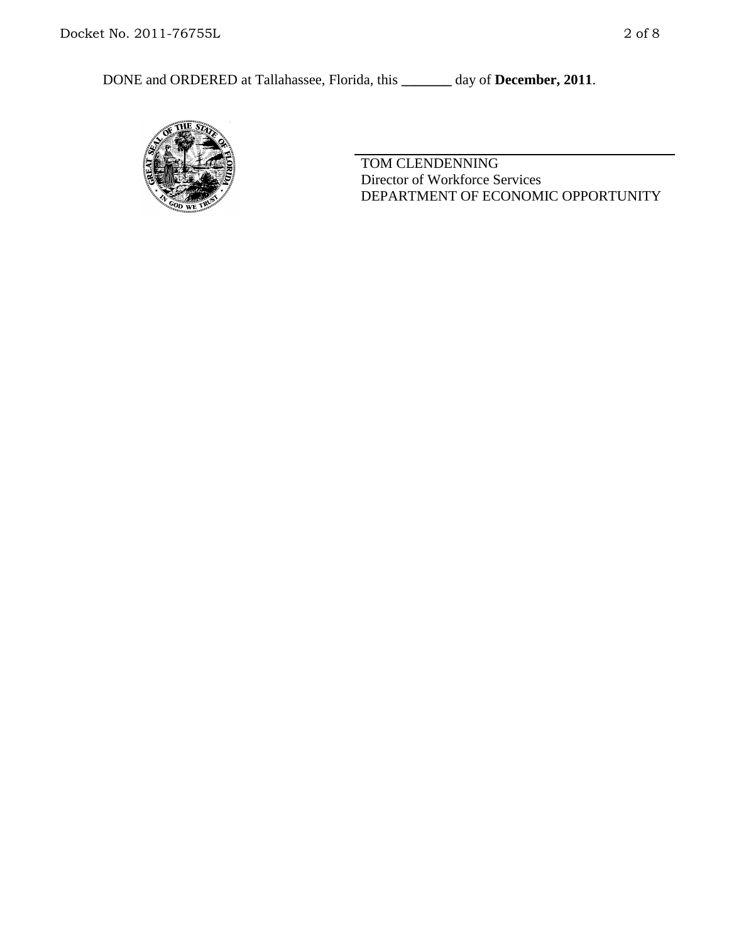

TOM CLENDENNING Director of Workforce Services DEPARTMENT OF ECONOMIC OPPORTUNITY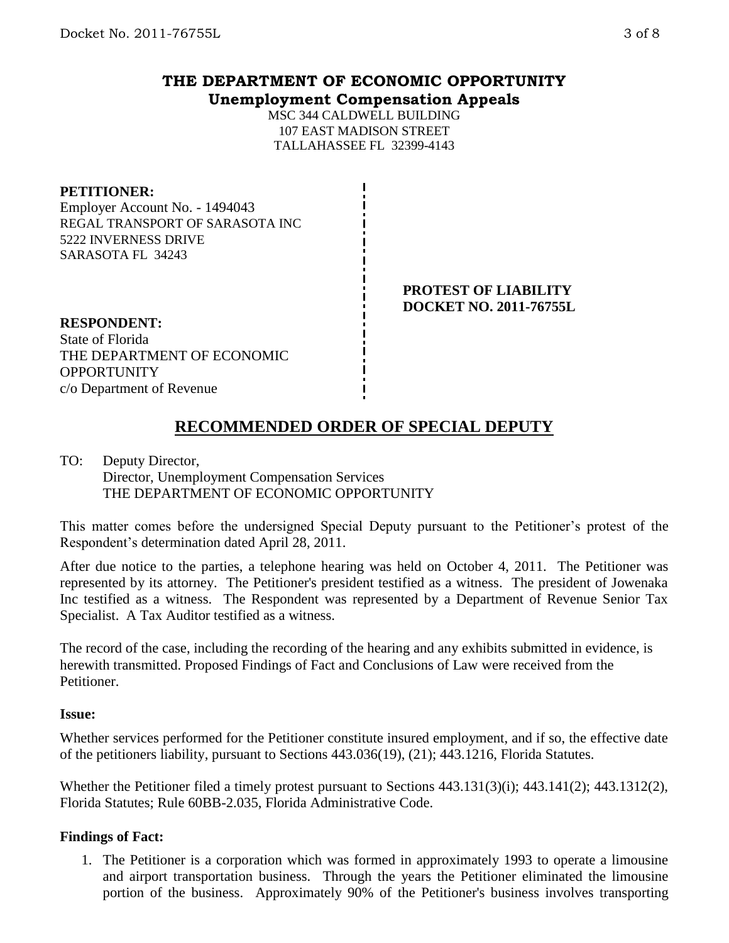### **THE DEPARTMENT OF ECONOMIC OPPORTUNITY Unemployment Compensation Appeals**

MSC 344 CALDWELL BUILDING 107 EAST MADISON STREET TALLAHASSEE FL 32399-4143

#### **PETITIONER:**

Employer Account No. - 1494043 REGAL TRANSPORT OF SARASOTA INC 5222 INVERNESS DRIVE SARASOTA FL 34243

> **PROTEST OF LIABILITY DOCKET NO. 2011-76755L**

**RESPONDENT:** State of Florida THE DEPARTMENT OF ECONOMIC **OPPORTUNITY** c/o Department of Revenue

## **RECOMMENDED ORDER OF SPECIAL DEPUTY**

TO: Deputy Director, Director, Unemployment Compensation Services THE DEPARTMENT OF ECONOMIC OPPORTUNITY

This matter comes before the undersigned Special Deputy pursuant to the Petitioner's protest of the Respondent's determination dated April 28, 2011.

After due notice to the parties, a telephone hearing was held on October 4, 2011. The Petitioner was represented by its attorney. The Petitioner's president testified as a witness. The president of Jowenaka Inc testified as a witness. The Respondent was represented by a Department of Revenue Senior Tax Specialist. A Tax Auditor testified as a witness.

The record of the case, including the recording of the hearing and any exhibits submitted in evidence, is herewith transmitted. Proposed Findings of Fact and Conclusions of Law were received from the Petitioner.

#### **Issue:**

Whether services performed for the Petitioner constitute insured employment, and if so, the effective date of the petitioners liability, pursuant to Sections 443.036(19), (21); 443.1216, Florida Statutes.

Whether the Petitioner filed a timely protest pursuant to Sections 443.131(3)(i); 443.141(2); 443.1312(2), Florida Statutes; Rule 60BB-2.035, Florida Administrative Code.

#### **Findings of Fact:**

1. The Petitioner is a corporation which was formed in approximately 1993 to operate a limousine and airport transportation business. Through the years the Petitioner eliminated the limousine portion of the business. Approximately 90% of the Petitioner's business involves transporting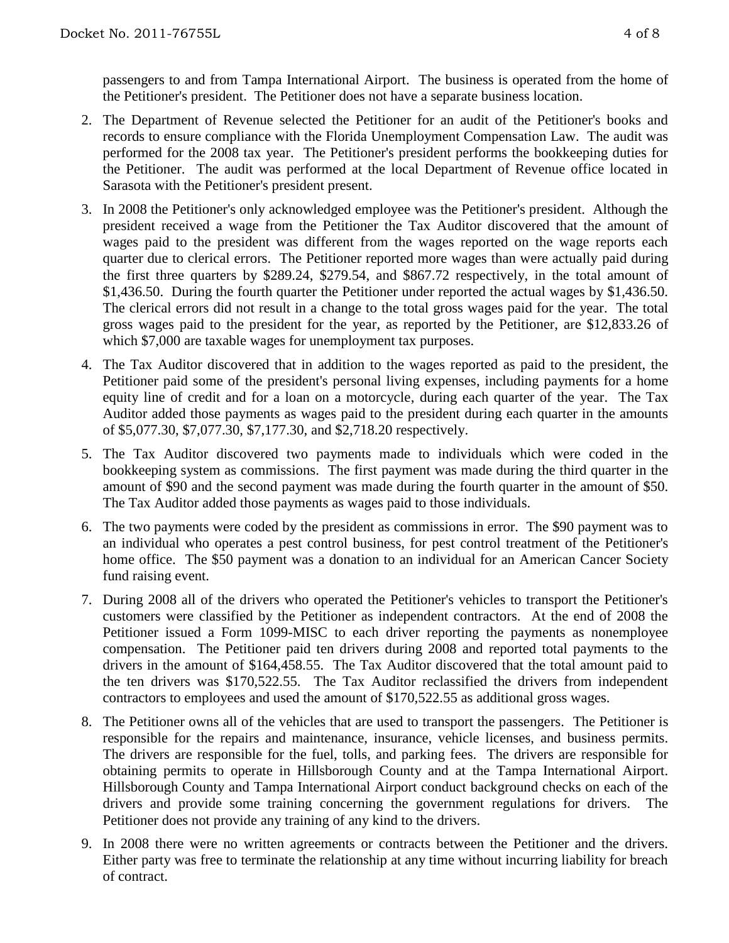passengers to and from Tampa International Airport. The business is operated from the home of the Petitioner's president. The Petitioner does not have a separate business location.

- 2. The Department of Revenue selected the Petitioner for an audit of the Petitioner's books and records to ensure compliance with the Florida Unemployment Compensation Law. The audit was performed for the 2008 tax year. The Petitioner's president performs the bookkeeping duties for the Petitioner. The audit was performed at the local Department of Revenue office located in Sarasota with the Petitioner's president present.
- 3. In 2008 the Petitioner's only acknowledged employee was the Petitioner's president. Although the president received a wage from the Petitioner the Tax Auditor discovered that the amount of wages paid to the president was different from the wages reported on the wage reports each quarter due to clerical errors. The Petitioner reported more wages than were actually paid during the first three quarters by \$289.24, \$279.54, and \$867.72 respectively, in the total amount of \$1,436.50. During the fourth quarter the Petitioner under reported the actual wages by \$1,436.50. The clerical errors did not result in a change to the total gross wages paid for the year. The total gross wages paid to the president for the year, as reported by the Petitioner, are \$12,833.26 of which \$7,000 are taxable wages for unemployment tax purposes.
- 4. The Tax Auditor discovered that in addition to the wages reported as paid to the president, the Petitioner paid some of the president's personal living expenses, including payments for a home equity line of credit and for a loan on a motorcycle, during each quarter of the year. The Tax Auditor added those payments as wages paid to the president during each quarter in the amounts of \$5,077.30, \$7,077.30, \$7,177.30, and \$2,718.20 respectively.
- 5. The Tax Auditor discovered two payments made to individuals which were coded in the bookkeeping system as commissions. The first payment was made during the third quarter in the amount of \$90 and the second payment was made during the fourth quarter in the amount of \$50. The Tax Auditor added those payments as wages paid to those individuals.
- 6. The two payments were coded by the president as commissions in error. The \$90 payment was to an individual who operates a pest control business, for pest control treatment of the Petitioner's home office. The \$50 payment was a donation to an individual for an American Cancer Society fund raising event.
- 7. During 2008 all of the drivers who operated the Petitioner's vehicles to transport the Petitioner's customers were classified by the Petitioner as independent contractors. At the end of 2008 the Petitioner issued a Form 1099-MISC to each driver reporting the payments as nonemployee compensation. The Petitioner paid ten drivers during 2008 and reported total payments to the drivers in the amount of \$164,458.55. The Tax Auditor discovered that the total amount paid to the ten drivers was \$170,522.55. The Tax Auditor reclassified the drivers from independent contractors to employees and used the amount of \$170,522.55 as additional gross wages.
- 8. The Petitioner owns all of the vehicles that are used to transport the passengers. The Petitioner is responsible for the repairs and maintenance, insurance, vehicle licenses, and business permits. The drivers are responsible for the fuel, tolls, and parking fees. The drivers are responsible for obtaining permits to operate in Hillsborough County and at the Tampa International Airport. Hillsborough County and Tampa International Airport conduct background checks on each of the drivers and provide some training concerning the government regulations for drivers. The Petitioner does not provide any training of any kind to the drivers.
- 9. In 2008 there were no written agreements or contracts between the Petitioner and the drivers. Either party was free to terminate the relationship at any time without incurring liability for breach of contract.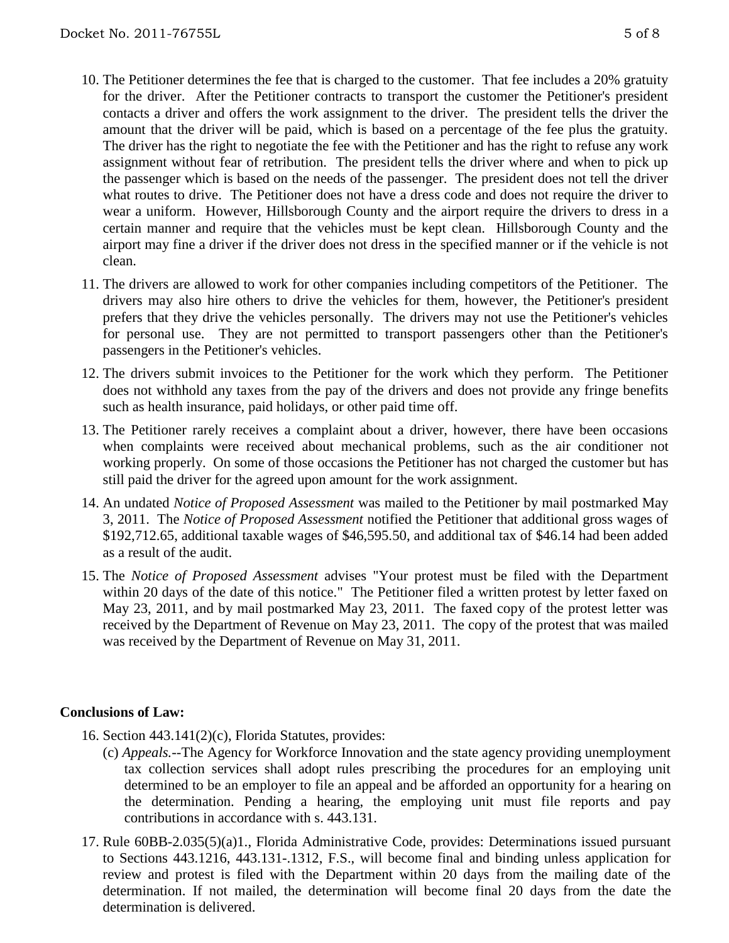- 10. The Petitioner determines the fee that is charged to the customer. That fee includes a 20% gratuity for the driver. After the Petitioner contracts to transport the customer the Petitioner's president contacts a driver and offers the work assignment to the driver. The president tells the driver the amount that the driver will be paid, which is based on a percentage of the fee plus the gratuity. The driver has the right to negotiate the fee with the Petitioner and has the right to refuse any work assignment without fear of retribution. The president tells the driver where and when to pick up the passenger which is based on the needs of the passenger. The president does not tell the driver what routes to drive. The Petitioner does not have a dress code and does not require the driver to wear a uniform. However, Hillsborough County and the airport require the drivers to dress in a certain manner and require that the vehicles must be kept clean. Hillsborough County and the airport may fine a driver if the driver does not dress in the specified manner or if the vehicle is not clean.
- 11. The drivers are allowed to work for other companies including competitors of the Petitioner. The drivers may also hire others to drive the vehicles for them, however, the Petitioner's president prefers that they drive the vehicles personally. The drivers may not use the Petitioner's vehicles for personal use. They are not permitted to transport passengers other than the Petitioner's passengers in the Petitioner's vehicles.
- 12. The drivers submit invoices to the Petitioner for the work which they perform. The Petitioner does not withhold any taxes from the pay of the drivers and does not provide any fringe benefits such as health insurance, paid holidays, or other paid time off.
- 13. The Petitioner rarely receives a complaint about a driver, however, there have been occasions when complaints were received about mechanical problems, such as the air conditioner not working properly. On some of those occasions the Petitioner has not charged the customer but has still paid the driver for the agreed upon amount for the work assignment.
- 14. An undated *Notice of Proposed Assessment* was mailed to the Petitioner by mail postmarked May 3, 2011. The *Notice of Proposed Assessment* notified the Petitioner that additional gross wages of \$192,712.65, additional taxable wages of \$46,595.50, and additional tax of \$46.14 had been added as a result of the audit.
- 15. The *Notice of Proposed Assessment* advises "Your protest must be filed with the Department within 20 days of the date of this notice." The Petitioner filed a written protest by letter faxed on May 23, 2011, and by mail postmarked May 23, 2011. The faxed copy of the protest letter was received by the Department of Revenue on May 23, 2011. The copy of the protest that was mailed was received by the Department of Revenue on May 31, 2011.

#### **Conclusions of Law:**

- 16. Section 443.141(2)(c), Florida Statutes, provides:
	- (c) *Appeals.*--The Agency for Workforce Innovation and the state agency providing unemployment tax collection services shall adopt rules prescribing the procedures for an employing unit determined to be an employer to file an appeal and be afforded an opportunity for a hearing on the determination. Pending a hearing, the employing unit must file reports and pay contributions in accordance with s. 443.131.
- 17. Rule 60BB-2.035(5)(a)1., Florida Administrative Code, provides: Determinations issued pursuant to Sections 443.1216, 443.131-.1312, F.S., will become final and binding unless application for review and protest is filed with the Department within 20 days from the mailing date of the determination. If not mailed, the determination will become final 20 days from the date the determination is delivered.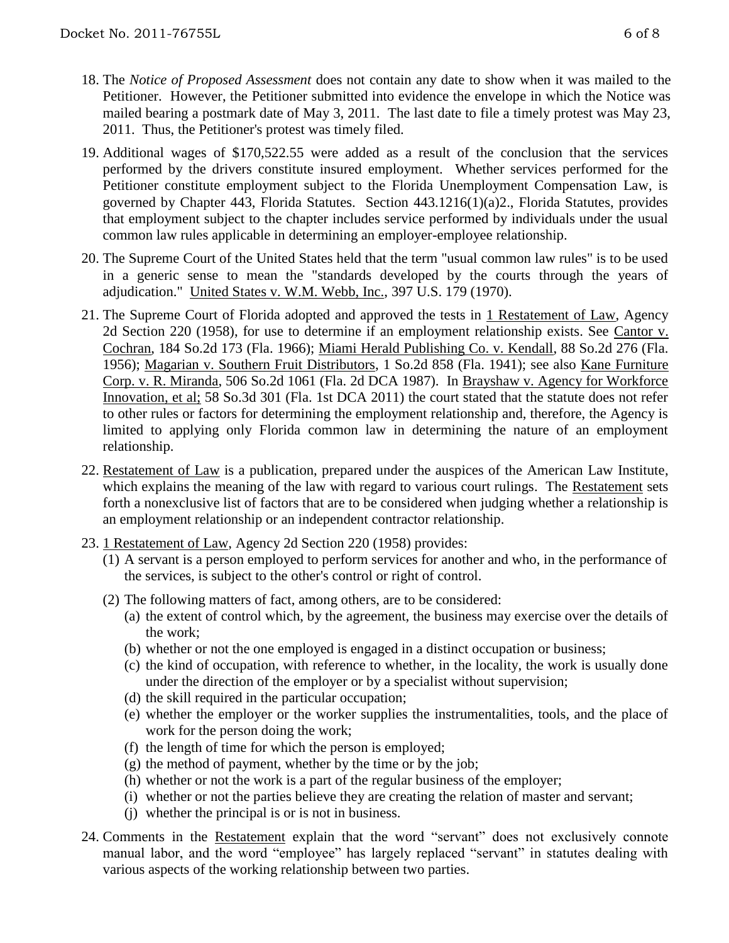- 18. The *Notice of Proposed Assessment* does not contain any date to show when it was mailed to the Petitioner. However, the Petitioner submitted into evidence the envelope in which the Notice was mailed bearing a postmark date of May 3, 2011. The last date to file a timely protest was May 23, 2011. Thus, the Petitioner's protest was timely filed.
- 19. Additional wages of \$170,522.55 were added as a result of the conclusion that the services performed by the drivers constitute insured employment. Whether services performed for the Petitioner constitute employment subject to the Florida Unemployment Compensation Law, is governed by Chapter 443, Florida Statutes. Section 443.1216(1)(a)2., Florida Statutes, provides that employment subject to the chapter includes service performed by individuals under the usual common law rules applicable in determining an employer-employee relationship.
- 20. The Supreme Court of the United States held that the term "usual common law rules" is to be used in a generic sense to mean the "standards developed by the courts through the years of adjudication." United States v. W.M. Webb, Inc., 397 U.S. 179 (1970).
- 21. The Supreme Court of Florida adopted and approved the tests in 1 Restatement of Law, Agency 2d Section 220 (1958), for use to determine if an employment relationship exists. See Cantor v. Cochran, 184 So.2d 173 (Fla. 1966); Miami Herald Publishing Co. v. Kendall, 88 So.2d 276 (Fla. 1956); Magarian v. Southern Fruit Distributors, 1 So.2d 858 (Fla. 1941); see also Kane Furniture Corp. v. R. Miranda, 506 So.2d 1061 (Fla. 2d DCA 1987). In Brayshaw v. Agency for Workforce Innovation, et al; 58 So.3d 301 (Fla. 1st DCA 2011) the court stated that the statute does not refer to other rules or factors for determining the employment relationship and, therefore, the Agency is limited to applying only Florida common law in determining the nature of an employment relationship.
- 22. Restatement of Law is a publication, prepared under the auspices of the American Law Institute, which explains the meaning of the law with regard to various court rulings. The Restatement sets forth a nonexclusive list of factors that are to be considered when judging whether a relationship is an employment relationship or an independent contractor relationship.
- 23. 1 Restatement of Law, Agency 2d Section 220 (1958) provides:
	- (1) A servant is a person employed to perform services for another and who, in the performance of the services, is subject to the other's control or right of control.
	- (2) The following matters of fact, among others, are to be considered:
		- (a) the extent of control which, by the agreement, the business may exercise over the details of the work;
		- (b) whether or not the one employed is engaged in a distinct occupation or business;
		- (c) the kind of occupation, with reference to whether, in the locality, the work is usually done under the direction of the employer or by a specialist without supervision;
		- (d) the skill required in the particular occupation;
		- (e) whether the employer or the worker supplies the instrumentalities, tools, and the place of work for the person doing the work;
		- (f) the length of time for which the person is employed;
		- (g) the method of payment, whether by the time or by the job;
		- (h) whether or not the work is a part of the regular business of the employer;
		- (i) whether or not the parties believe they are creating the relation of master and servant;
		- (j) whether the principal is or is not in business.
- 24. Comments in the Restatement explain that the word "servant" does not exclusively connote manual labor, and the word "employee" has largely replaced "servant" in statutes dealing with various aspects of the working relationship between two parties.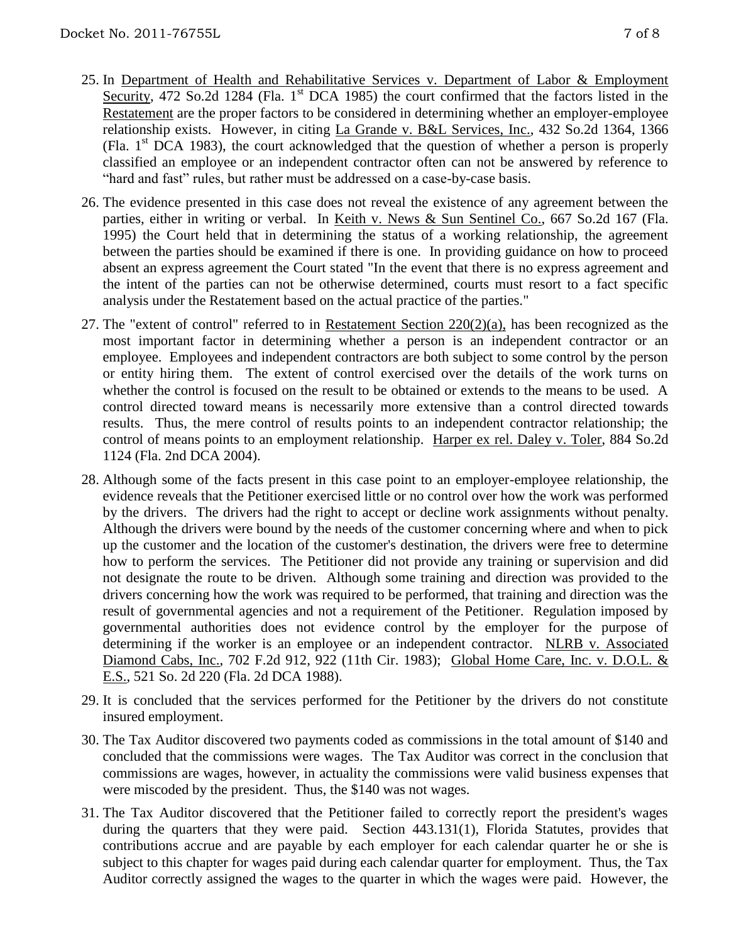- 25. In Department of Health and Rehabilitative Services v. Department of Labor & Employment Security, 472 So.2d 1284 (Fla.  $1<sup>st</sup>$  DCA 1985) the court confirmed that the factors listed in the Restatement are the proper factors to be considered in determining whether an employer-employee relationship exists. However, in citing La Grande v. B&L Services, Inc., 432 So.2d 1364, 1366 (Fla. 1st DCA 1983), the court acknowledged that the question of whether a person is properly classified an employee or an independent contractor often can not be answered by reference to
- 26. The evidence presented in this case does not reveal the existence of any agreement between the parties, either in writing or verbal. In Keith v. News & Sun Sentinel Co., 667 So.2d 167 (Fla. 1995) the Court held that in determining the status of a working relationship, the agreement between the parties should be examined if there is one. In providing guidance on how to proceed absent an express agreement the Court stated "In the event that there is no express agreement and the intent of the parties can not be otherwise determined, courts must resort to a fact specific analysis under the Restatement based on the actual practice of the parties."

"hard and fast" rules, but rather must be addressed on a case-by-case basis.

- 27. The "extent of control" referred to in Restatement Section  $220(2)(a)$ , has been recognized as the most important factor in determining whether a person is an independent contractor or an employee. Employees and independent contractors are both subject to some control by the person or entity hiring them. The extent of control exercised over the details of the work turns on whether the control is focused on the result to be obtained or extends to the means to be used. A control directed toward means is necessarily more extensive than a control directed towards results. Thus, the mere control of results points to an independent contractor relationship; the control of means points to an employment relationship. Harper ex rel. Daley v. Toler, 884 So.2d 1124 (Fla. 2nd DCA 2004).
- 28. Although some of the facts present in this case point to an employer-employee relationship, the evidence reveals that the Petitioner exercised little or no control over how the work was performed by the drivers. The drivers had the right to accept or decline work assignments without penalty. Although the drivers were bound by the needs of the customer concerning where and when to pick up the customer and the location of the customer's destination, the drivers were free to determine how to perform the services. The Petitioner did not provide any training or supervision and did not designate the route to be driven. Although some training and direction was provided to the drivers concerning how the work was required to be performed, that training and direction was the result of governmental agencies and not a requirement of the Petitioner. Regulation imposed by governmental authorities does not evidence control by the employer for the purpose of determining if the worker is an employee or an independent contractor. NLRB v. Associated Diamond Cabs, Inc., 702 F.2d 912, 922 (11th Cir. 1983); Global Home Care, Inc. v. D.O.L. & E.S., 521 So. 2d 220 (Fla. 2d DCA 1988).
- 29. It is concluded that the services performed for the Petitioner by the drivers do not constitute insured employment.
- 30. The Tax Auditor discovered two payments coded as commissions in the total amount of \$140 and concluded that the commissions were wages. The Tax Auditor was correct in the conclusion that commissions are wages, however, in actuality the commissions were valid business expenses that were miscoded by the president. Thus, the \$140 was not wages.
- 31. The Tax Auditor discovered that the Petitioner failed to correctly report the president's wages during the quarters that they were paid. Section 443.131(1), Florida Statutes, provides that contributions accrue and are payable by each employer for each calendar quarter he or she is subject to this chapter for wages paid during each calendar quarter for employment. Thus, the Tax Auditor correctly assigned the wages to the quarter in which the wages were paid. However, the